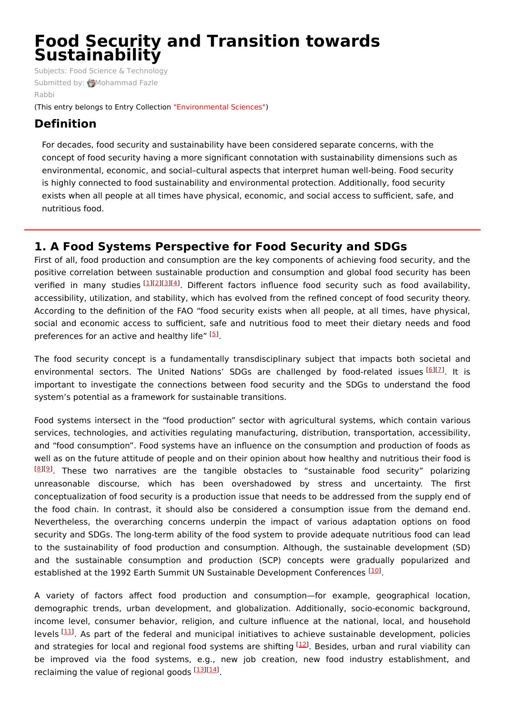# **Food Security and Transition towards Sustainability**

Subjects: Food Science & [Technology](https://encyclopedia.pub/item/subject/201) Submitted by: [Mohammad](https://sciprofiles.com/profile/1820796) Fazle Rabbi

(This entry belongs to Entry Collection ["Environmental](https://encyclopedia.pub/entry_collection?id=5) Sciences")

# **Definition**

For decades, food security and sustainability have been considered separate concerns, with the concept of food security having a more significant connotation with sustainability dimensions such as environmental, economic, and social–cultural aspects that interpret human well-being. Food security is highly connected to food sustainability and environmental protection. Additionally, food security exists when all people at all times have physical, economic, and social access to sufficient, safe, and nutritious food.

# **1. A Food Systems Perspective for Food Security and SDGs**

First of all, food production and consumption are the key components of achieving food security, and the positive correlation between sustainable production and consumption and global food security has been verified in many studies [[1](#page-2-0)][\[2](#page-2-1)][[3](#page-2-2)][\[4](#page-2-3)]. Different factors influence food security such as food availability, accessibility, utilization, and stability, which has evolved from the refined concept of food security theory. According to the definition of the FAO "food security exists when all people, at all times, have physical, social and economic access to sufficient, safe and nutritious food to meet their dietary needs and food preferences for an active and healthy life" [[5](#page-2-4)].

The food security concept is a fundamentally transdisciplinary subject that impacts both societal and environmental sectors. The United Nations' SDGs are challenged by food-related issues [[6](#page-3-0)][\[7](#page-3-1)]. It is important to investigate the connections between food security and the SDGs to understand the food system's potential as a framework for sustainable transitions.

Food systems intersect in the "food production" sector with agricultural systems, which contain various services, technologies, and activities regulating manufacturing, distribution, transportation, accessibility, and "food consumption". Food systems have an influence on the consumption and production of foods as well as on the future attitude of people and on their opinion about how healthy and nutritious their food is <sup>[[8](#page-3-2)][\[9](#page-3-3)]</sup>. These two narratives are the tangible obstacles to "sustainable food security" polarizing unreasonable discourse, which has been overshadowed by stress and uncertainty. The first conceptualization of food security is a production issue that needs to be addressed from the supply end of the food chain. In contrast, it should also be considered a consumption issue from the demand end. Nevertheless, the overarching concerns underpin the impact of various adaptation options on food security and SDGs. The long-term ability of the food system to provide adequate nutritious food can lead to the sustainability of food production and consumption. Although, the sustainable development (SD) and the sustainable consumption and production (SCP) concepts were gradually popularized and established at the 1992 Earth Summit UN Sustainable Development Conferences [\[10](#page-3-4)].

A variety of factors affect food production and consumption—for example, geographical location, demographic trends, urban development, and globalization. Additionally, socio-economic background, income level, consumer behavior, religion, and culture influence at the national, local, and household levels [\[11](#page-3-5)]. As part of the federal and municipal initiatives to achieve sustainable development, policies and strategies for local and regional food systems are shifting <sup>[[12\]](#page-3-6)</sup>. Besides, urban and rural viability can be improved via the food systems, e.g., new job creation, new food industry establishment, and reclaiming the value of regional goods [\[13](#page-3-7)][\[14](#page-3-8)].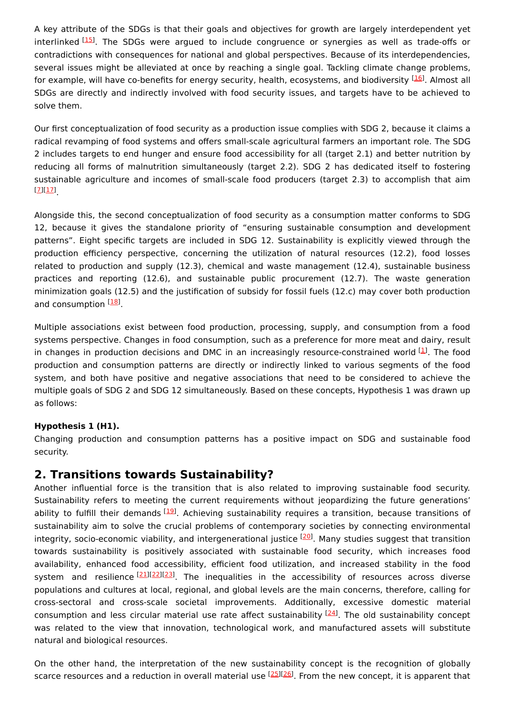A key attribute of the SDGs is that their goals and objectives for growth are largely interdependent yet interlinked <sup>[[15\]](#page-3-9)</sup>. The SDGs were argued to include congruence or synergies as well as trade-offs or contradictions with consequences for national and global perspectives. Because of its interdependencies, several issues might be alleviated at once by reaching a single goal. Tackling climate change problems, for example, will have co-benefits for energy security, health, ecosystems, and biodiversity <sup>[\[16](#page-3-10)]</sup>. Almost all SDGs are directly and indirectly involved with food security issues, and targets have to be achieved to solve them.

Our first conceptualization of food security as a production issue complies with SDG 2, because it claims a radical revamping of food systems and offers small-scale agricultural farmers an important role. The SDG 2 includes targets to end hunger and ensure food accessibility for all (target 2.1) and better nutrition by reducing all forms of malnutrition simultaneously (target 2.2). SDG 2 has dedicated itself to fostering sustainable agriculture and incomes of small-scale food producers (target 2.3) to accomplish that aim . [[7](#page-3-1)][\[17](#page-3-11)]

Alongside this, the second conceptualization of food security as a consumption matter conforms to SDG 12, because it gives the standalone priority of "ensuring sustainable consumption and development patterns". Eight specific targets are included in SDG 12. Sustainability is explicitly viewed through the production efficiency perspective, concerning the utilization of natural resources (12.2), food losses related to production and supply (12.3), chemical and waste management (12.4), sustainable business practices and reporting (12.6), and sustainable public procurement (12.7). The waste generation minimization goals (12.5) and the justification of subsidy for fossil fuels (12.c) may cover both production and consumption [[18\]](#page-3-12)

Multiple associations exist between food production, processing, supply, and consumption from a food systems perspective. Changes in food consumption, such as a preference for more meat and dairy, result in changes in production decisions and DMC in an increasingly resource-constrained world  $[1]$  $[1]$  $[1]$ . The food production and consumption patterns are directly or indirectly linked to various segments of the food system, and both have positive and negative associations that need to be considered to achieve the multiple goals of SDG 2 and SDG 12 simultaneously. Based on these concepts, Hypothesis 1 was drawn up as follows:

## **Hypothesis 1 (H1).**

Changing production and consumption patterns has a positive impact on SDG and sustainable food security.

# **2. Transitions towards Sustainability?**

Another influential force is the transition that is also related to improving sustainable food security. Sustainability refers to meeting the current requirements without jeopardizing the future generations' ability to fulfill their demands [[19\]](#page-3-13). Achieving sustainability requires a transition, because transitions of sustainability aim to solve the crucial problems of contemporary societies by connecting environmental integrity, socio-economic viability, and intergenerational justice <sup>[\[20](#page-3-14)]</sup>. Many studies suggest that transition towards sustainability is positively associated with sustainable food security, which increases food availability, enhanced food accessibility, efficient food utilization, and increased stability in the food system and resilience<sup>[[21](#page-3-15)][\[22](#page-3-16)][[23](#page-3-17)]</sup>. The inequalities in the accessibility of resources across diverse populations and cultures at local, regional, and global levels are the main concerns, therefore, calling for cross-sectoral and cross-scale societal improvements. Additionally, excessive domestic material consumption and less circular material use rate affect sustainability <sup>[[24](#page-3-18)]</sup>. The old sustainability concept was related to the view that innovation, technological work, and manufactured assets will substitute natural and biological resources.

On the other hand, the interpretation of the new sustainability concept is the recognition of globally scarce resources and a reduction in overall material use <sup>[[25\]](#page-3-19)[[26\]](#page-3-20)</sup>. From the new concept, it is apparent that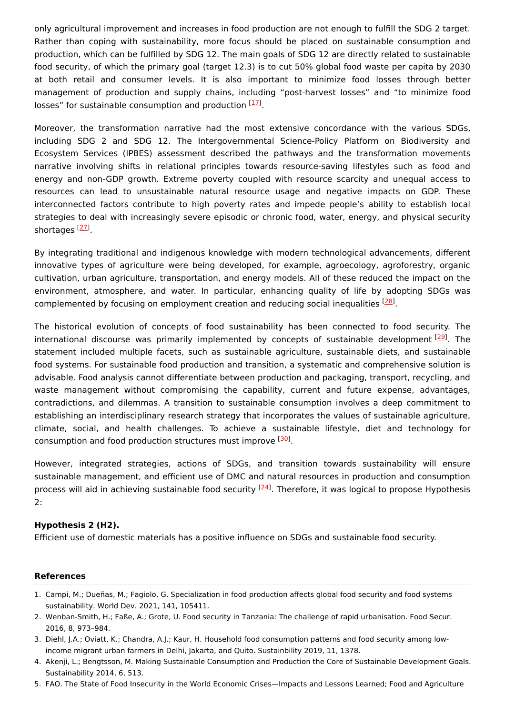only agricultural improvement and increases in food production are not enough to fulfill the SDG 2 target. Rather than coping with sustainability, more focus should be placed on sustainable consumption and production, which can be fulfilled by SDG 12. The main goals of SDG 12 are directly related to sustainable food security, of which the primary goal (target 12.3) is to cut 50% global food waste per capita by 2030 at both retail and consumer levels. It is also important to minimize food losses through better management of production and supply chains, including "post-harvest losses" and "to minimize food losses" for sustainable consumption and production [[17](#page-3-11)].

Moreover, the transformation narrative had the most extensive concordance with the various SDGs, including SDG 2 and SDG 12. The Intergovernmental Science-Policy Platform on Biodiversity and Ecosystem Services (IPBES) assessment described the pathways and the transformation movements narrative involving shifts in relational principles towards resource-saving lifestyles such as food and energy and non-GDP growth. Extreme poverty coupled with resource scarcity and unequal access to resources can lead to unsustainable natural resource usage and negative impacts on GDP. These interconnected factors contribute to high poverty rates and impede people's ability to establish local strategies to deal with increasingly severe episodic or chronic food, water, energy, and physical security shortages <sup>[<u>27</u>]</sup>.

By integrating traditional and indigenous knowledge with modern technological advancements, different innovative types of agriculture were being developed, for example, agroecology, agroforestry, organic cultivation, urban agriculture, transportation, and energy models. All of these reduced the impact on the environment, atmosphere, and water. In particular, enhancing quality of life by adopting SDGs was complemented by focusing on employment creation and reducing social inequalities <sup>[\[28](#page-3-22)]</sup>.

The historical evolution of concepts of food sustainability has been connected to food security. The international discourse was primarily implemented by concepts of sustainable development [\[29](#page-3-23)]. The statement included multiple facets, such as sustainable agriculture, sustainable diets, and sustainable food systems. For sustainable food production and transition, a systematic and comprehensive solution is advisable. Food analysis cannot differentiate between production and packaging, transport, recycling, and waste management without compromising the capability, current and future expense, advantages, contradictions, and dilemmas. A transition to sustainable consumption involves a deep commitment to establishing an interdisciplinary research strategy that incorporates the values of sustainable agriculture, climate, social, and health challenges. To achieve a sustainable lifestyle, diet and technology for consumption and food production structures must improve <sup>[\[30](#page-3-24)]</sup>.

However, integrated strategies, actions of SDGs, and transition towards sustainability will ensure sustainable management, and efficient use of DMC and natural resources in production and consumption process will aid in achieving sustainable food security <sup>[[24](#page-3-18)]</sup>. Therefore, it was logical to propose Hypothesis 2:

## **Hypothesis 2 (H2).**

Efficient use of domestic materials has a positive influence on SDGs and sustainable food security.

#### **References**

- <span id="page-2-0"></span>1. Campi, M.; Dueñas, M.; Fagiolo, G. Specialization in food production affects global food security and food systems sustainability. World Dev. 2021, 141, 105411.
- <span id="page-2-1"></span>2. Wenban-Smith, H.; Faße, A.; Grote, U. Food security in Tanzania: The challenge of rapid urbanisation. Food Secur. 2016, 8, 973–984.
- <span id="page-2-2"></span>3. Diehl, J.A.; Oviatt, K.; Chandra, A.J.; Kaur, H. Household food consumption patterns and food security among lowincome migrant urban farmers in Delhi, Jakarta, and Quito. Sustainbility 2019, 11, 1378.
- <span id="page-2-3"></span>4. Akenji, L.; Bengtsson, M. Making Sustainable Consumption and Production the Core of Sustainable Development Goals. Sustainability 2014, 6, 513.
- <span id="page-2-4"></span>5. FAO. The State of Food Insecurity in the World Economic Crises—Impacts and Lessons Learned; Food and Agriculture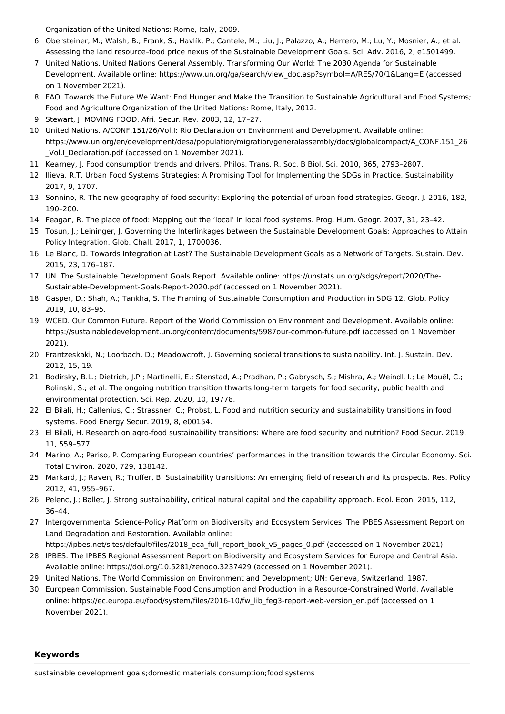<span id="page-3-0"></span>Organization of the United Nations: Rome, Italy, 2009.

- 6. Obersteiner, M.; Walsh, B.; Frank, S.; Havlík, P.; Cantele, M.; Liu, J.; Palazzo, A.; Herrero, M.; Lu, Y.; Mosnier, A.; et al. Assessing the land resource–food price nexus of the Sustainable Development Goals. Sci. Adv. 2016, 2, e1501499.
- <span id="page-3-1"></span>7. United Nations. United Nations General Assembly. Transforming Our World: The 2030 Agenda for Sustainable Development. Available online: https://www.un.org/ga/search/view\_doc.asp?symbol=A/RES/70/1&Lang=E (accessed on 1 November 2021).
- <span id="page-3-2"></span>8. FAO. Towards the Future We Want: End Hunger and Make the Transition to Sustainable Agricultural and Food Systems; Food and Agriculture Organization of the United Nations: Rome, Italy, 2012.
- <span id="page-3-3"></span>9. Stewart, J. MOVING FOOD. Afri. Secur. Rev. 2003, 12, 17–27.
- <span id="page-3-4"></span>10. United Nations. A/CONF.151/26/Vol.I: Rio Declaration on Environment and Development. Available online: https://www.un.org/en/development/desa/population/migration/generalassembly/docs/globalcompact/A\_CONF.151\_26 \_Vol.I\_Declaration.pdf (accessed on 1 November 2021).
- <span id="page-3-5"></span>11. Kearney, J. Food consumption trends and drivers. Philos. Trans. R. Soc. B Biol. Sci. 2010, 365, 2793–2807.
- <span id="page-3-6"></span>12. Ilieva, R.T. Urban Food Systems Strategies: A Promising Tool for Implementing the SDGs in Practice. Sustainability 2017, 9, 1707.
- <span id="page-3-7"></span>13. Sonnino, R. The new geography of food security: Exploring the potential of urban food strategies. Geogr. J. 2016, 182, 190–200.
- <span id="page-3-8"></span>14. Feagan, R. The place of food: Mapping out the 'local' in local food systems. Prog. Hum. Geogr. 2007, 31, 23–42.
- <span id="page-3-9"></span>15. Tosun, J.; Leininger, J. Governing the Interlinkages between the Sustainable Development Goals: Approaches to Attain Policy Integration. Glob. Chall. 2017, 1, 1700036.
- <span id="page-3-10"></span>16. Le Blanc, D. Towards Integration at Last? The Sustainable Development Goals as a Network of Targets. Sustain. Dev. 2015, 23, 176–187.
- <span id="page-3-11"></span>17. UN. The Sustainable Development Goals Report. Available online: https://unstats.un.org/sdgs/report/2020/The-Sustainable-Development-Goals-Report-2020.pdf (accessed on 1 November 2021).
- <span id="page-3-12"></span>18. Gasper, D.; Shah, A.; Tankha, S. The Framing of Sustainable Consumption and Production in SDG 12. Glob. Policy 2019, 10, 83–95.
- <span id="page-3-13"></span>19. WCED. Our Common Future. Report of the World Commission on Environment and Development. Available online: https://sustainabledevelopment.un.org/content/documents/5987our-common-future.pdf (accessed on 1 November 2021).
- <span id="page-3-14"></span>20. Frantzeskaki, N.; Loorbach, D.; Meadowcroft, J. Governing societal transitions to sustainability. Int. J. Sustain. Dev. 2012, 15, 19.
- <span id="page-3-15"></span>21. Bodirsky, B.L.; Dietrich, J.P.; Martinelli, E.; Stenstad, A.; Pradhan, P.; Gabrysch, S.; Mishra, A.; Weindl, I.; Le Mouël, C.; Rolinski, S.; et al. The ongoing nutrition transition thwarts long-term targets for food security, public health and environmental protection. Sci. Rep. 2020, 10, 19778.
- <span id="page-3-16"></span>22. El Bilali, H.; Callenius, C.; Strassner, C.; Probst, L. Food and nutrition security and sustainability transitions in food systems. Food Energy Secur. 2019, 8, e00154.
- <span id="page-3-17"></span>23. El Bilali, H. Research on agro-food sustainability transitions: Where are food security and nutrition? Food Secur. 2019, 11, 559–577.
- <span id="page-3-18"></span>24. Marino, A.; Pariso, P. Comparing European countries' performances in the transition towards the Circular Economy. Sci. Total Environ. 2020, 729, 138142.
- <span id="page-3-19"></span>25. Markard, J.; Raven, R.; Truffer, B. Sustainability transitions: An emerging field of research and its prospects. Res. Policy 2012, 41, 955–967.
- <span id="page-3-20"></span>26. Pelenc, J.; Ballet, J. Strong sustainability, critical natural capital and the capability approach. Ecol. Econ. 2015, 112, 36–44.
- <span id="page-3-21"></span>27. Intergovernmental Science-Policy Platform on Biodiversity and Ecosystem Services. The IPBES Assessment Report on Land Degradation and Restoration. Available online:

<span id="page-3-22"></span>https://ipbes.net/sites/default/files/2018\_eca\_full\_report\_book\_v5\_pages\_0.pdf (accessed on 1 November 2021).

- 28. IPBES. The IPBES Regional Assessment Report on Biodiversity and Ecosystem Services for Europe and Central Asia. Available online: https://doi.org/10.5281/zenodo.3237429 (accessed on 1 November 2021).
- <span id="page-3-23"></span>29. United Nations. The World Commission on Environment and Development; UN: Geneva, Switzerland, 1987.
- <span id="page-3-24"></span>30. European Commission. Sustainable Food Consumption and Production in a Resource-Constrained World. Available online: https://ec.europa.eu/food/system/files/2016-10/fw\_lib\_feg3-report-web-version\_en.pdf (accessed on 1 November 2021).

## **Keywords**